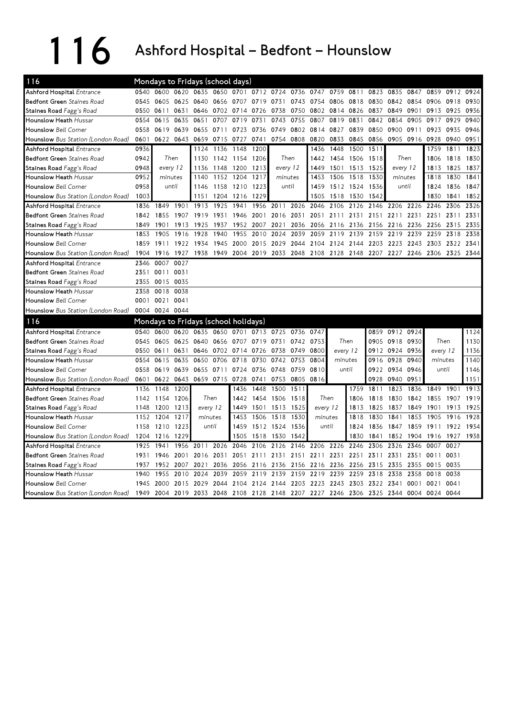## 116 Ashford Hospital – Bedfont – Hounslow

| 116                                |      | Mondays to Fridays (school days)             |           |                     |       |                |      |      |                |                                              |                |      |           |                |                |          |           |      |
|------------------------------------|------|----------------------------------------------|-----------|---------------------|-------|----------------|------|------|----------------|----------------------------------------------|----------------|------|-----------|----------------|----------------|----------|-----------|------|
| <b>Ashford Hospital Entrance</b>   | 0540 |                                              |           | 0600 0620 0635 0650 |       | 0701           |      |      | 0712 0724 0736 | 0747                                         | 0759           | 0811 | 0823      | 0835           | 0847           | 0859     | 0912      | 0924 |
| <b>Bedfont Green</b> Staines Road  | 0545 | 0605                                         | 0625 0640 |                     |       | 0656 0707      | 0719 | 0731 |                | 0743 0754                                    | 0806           | 0818 | 0830      | 0842           | 0854 0906      |          | 0918      | 0930 |
| Staines Road Fagg's Road           | 0550 | 0611                                         | 0631      | 0646                |       | 0702 0714      | 0726 | 0738 | 0750           | 0802                                         | 0814           | 0826 | 0837      | 0849           | 0901           | 0913     | 0925      | 0936 |
| <b>Hounslow Heath Hussar</b>       | 0554 | 0615                                         | 0635      | 0651                | 0707  | 0719           | 0731 | 0743 | 0755           | 0807                                         | 0819           | 0831 | 0842      | 0854           | 0905           | 0917     | 0929      | 0940 |
| <b>Hounslow Bell Corner</b>        | 0558 | 0619                                         | 0639      | 0655                | 0711  | 0723           | 0736 | 0749 | 0802           | 0814                                         | 0827           | 0839 | 0850      | 0900           | 0911           | 0923     | 0935      | 0946 |
| Hounslow Bus Station (London Road) | 0601 |                                              | 0622 0643 | 0659                |       | 0715 0727      | 0741 |      | 0754 0808      | 0820                                         | 0833           |      | 0845 0856 |                | 0905 0916 0928 |          | 0940      | 0951 |
| Ashford Hospital Entrance          | 0936 |                                              |           | 1124                | 1136  | 1148           | 1200 |      |                | 1436                                         | 1448           | 1500 | 1511      |                |                | 1759     | 1811      | 1823 |
| <b>Bedfont Green</b> Staines Road  | 0942 | Then                                         |           | 1130                |       | 1142 1154      | 1206 |      | Then           | 1442                                         | 1454           | 1506 | 1518      | Then           |                | 1806     | 1818      | 1830 |
| Staines Road Fagg's Road           | 0948 | every 12                                     |           | 1136                |       | 1148 1200 1213 |      |      | every 12       | 1449                                         | 1501 1513 1525 |      |           | every 12       |                | 1813     | 1825      | 1837 |
| Hounslow Heath Hussar              | 0952 | minutes                                      |           | 1140                | 1152  | 1204           | 1217 |      | minutes        | 1453                                         | 1506           | 1518 | 1530      | minutes        |                | 1818     | 1830      | 1841 |
| <b>Hounslow</b> Bell Corner        | 0958 | until                                        |           | 1146                |       | 1158 1210      | 1223 |      | until          | 1459                                         | 1512 1524      |      | 1536      | until          |                | 1824     | 1836      | 1847 |
| Hounslow Bus Station (London Road) | 1003 |                                              |           | 1151                | 1204  | 1216           | 1229 |      |                | 1505                                         | 1518           | 1530 | 1542      |                |                | 1830     | 1841      | 1852 |
| Ashford Hospital Entrance          | 1836 | 1849                                         | 1901      | 1913                | 1925  | 1941           | 1956 | 2011 | 2026           | 2046                                         | 2106           | 2126 | 2146      | 2206           | 2226           | 2246     | 2306      | 2326 |
| <b>Bedfont Green</b> Staines Road  | 1842 | 1855                                         | 1907      | 1919                | 1931  | 1946           | 2001 | 2016 | 2031           | 2051                                         | 2111           | 2131 | 21<br>51  | 2211           | 2231           | 2251     | 2311      | 2331 |
| Staines Road Fagg's Road           | 1849 | 1901                                         | 1913      | 1925                | 1937  | 1952           | 2007 | 2021 | 2036           | 2056                                         | 2116           | 2136 | 2156      | 2216           | 2236           | 2256     | 2315      | 2335 |
| Hounslow Heath Hussar              | 1853 | 1905                                         | 1916      | 1928                | 1940  | 1955           | 2010 | 2024 | 2039           | 2059                                         | 2119           | 2139 | 2159      | 2219           | 2239           | 2259     | 2318      | 2338 |
| <b>Hounslow</b> Bell Corner        | 1859 | 1911                                         | 1922      | 1934                | 1945  | 2000           | 2015 | 2029 | 2044           | 2104                                         | 2124           | 2144 | 2203      | 2223           | 2243           | 2303     | 2322      | 2341 |
| Hounslow Bus Station (London Road) | 1904 | 1916                                         | 1927      | 1938                |       | 1949 2004 2019 |      |      |                | 2033 2048 2108 2128 2148 2207 2227 2246 2306 |                |      |           |                |                |          | 2325 2344 |      |
| Ashford Hospital Entrance          | 2346 | 0007                                         | 0027      |                     |       |                |      |      |                |                                              |                |      |           |                |                |          |           |      |
| <b>Bedfont Green</b> Staines Road  | 2351 | 0011                                         | 0031      |                     |       |                |      |      |                |                                              |                |      |           |                |                |          |           |      |
| Staines Road Fagg's Road           | 2355 | 0015 0035                                    |           |                     |       |                |      |      |                |                                              |                |      |           |                |                |          |           |      |
| <b>Hounslow Heath Hussar</b>       | 2358 | 0018                                         | 0038      |                     |       |                |      |      |                |                                              |                |      |           |                |                |          |           |      |
| <b>Hounslow</b> Bell Corner        | 0001 | 0021                                         | 0041      |                     |       |                |      |      |                |                                              |                |      |           |                |                |          |           |      |
| Hounslow Bus Station (London Road) |      | 0004 0024 0044                               |           |                     |       |                |      |      |                |                                              |                |      |           |                |                |          |           |      |
| 116                                |      | Mondays to Fridays (school holidays)         |           |                     |       |                |      |      |                |                                              |                |      |           |                |                |          |           |      |
| <b>Ashford Hospital Entrance</b>   | 0540 | 0600 0620 0635 0650 0701 0713 0725 0736 0747 |           |                     |       |                |      |      |                |                                              |                |      |           | 0859 0912 0924 |                |          |           | 1124 |
| <b>Bedfont Green</b> Staines Road  | 0545 | 0605 0625 0640                               |           |                     |       | 0656 0707 0719 |      | 0731 | 0742 0753      |                                              | Then           |      |           | 0905 0918      | 0930           | Then     |           | 1130 |
| Staines Road Fagg's Road           | 0550 | 0611                                         | 0631      | 0646                |       | 0702 0714 0726 |      | 0738 | 0749           | 0800                                         | every 12       |      |           | 0912 0924      | 0936           | every 12 |           | 1136 |
| Hounslow Heath Hussar              | 0554 | 0615                                         | 0635      | 0650                | 0706  | 0718           | 0730 | 0742 | 0753           | 0804                                         | minutes        |      | 0916      | 0928           | 0940           | minutes  |           | 1140 |
| <b>Hounslow</b> Bell Corner        | 0558 | 0619                                         | 0639      | 0655                | 0711  | 0724           | 0736 | 0748 | 0759           | 0810                                         | until          |      | 0922      | 0934           | 0946           | until    |           | 1146 |
| Hounslow Bus Station (London Road) | 0601 | 0622                                         |           | 0643 0659 0715      |       | 0728           | 0741 | 0753 | 0805           | 0816                                         |                |      | 0928      | 0940           | 0951           |          |           | 1151 |
| <b>Ashford Hospital Entrance</b>   | 1136 | 1148                                         | 1200      |                     |       | 1436           | 1448 | 1500 | 1511           |                                              |                | 1759 | 1811      | 1823           | 1836           | 1849     | 1901      | 1913 |
| <b>Bedfont Green</b> Staines Road  | 1142 | 1154                                         | 1206      | Then                |       | 1442           | 1454 | 1506 | 1518           | Then                                         |                | 1806 | 1818      | 1830           | 1842           | 1855     | 1907      | 1919 |
| Staines Road Fagg's Road           | 1148 | 1200                                         | 1213      | every 12            |       | 1449           | 1501 | 1513 | 1525           | every 12                                     |                | 1813 | 1825      | 1837           | 1849           | 1901     | 1913      | 1925 |
| Hounslow Heath Hussar              | 1152 | 1204                                         | 1217      | minutes             |       | 1453           | 1506 | 1518 | 1530           | minutes                                      |                | 1818 | 1830      | 1841           | 1853           | 1905     | 1916      | 1928 |
| <b>Hounslow Bell Corner</b>        | 1158 | 1210                                         | 1223      |                     | until | 1459           | 1512 | 1524 | 1536           |                                              | until          | 1824 | 1836      | 1847           | 1859           | 1911     | 1922      | 1934 |
| Hounslow Bus Station (London Road) | 1204 | 1216                                         | 1229      |                     |       | 1505           | 1518 | 1530 | 1542           |                                              |                | 1830 | 1841      | 1852           | 1904           | 1916     | 1927      | 1938 |
| Ashford Hospital Entrance          | 1925 | 1941                                         | 1956      | 2011                | 2026  | 2046           | 2106 | 2126 | 2146           | 2206                                         | 2226           | 2246 | 2306      | 2326           | 2346           | 0007     | 0027      |      |
| <b>Bedfont Green</b> Staines Road  | 1931 | 1946                                         | 2001      | 2016                | 2031  | 2051           | 2111 | 2131 | 2151           | 2211                                         | 2231           | 2251 | 2311      | 2331           | 2351 0011      |          | 0031      |      |
| Staines Road Fagg's Road           | 1937 | 1952                                         | 2007      | 2021                | 2036  | 2056           | 2116 | 2136 | 2156           | 2216                                         | 2236           | 2256 | 2315      | 2335           | 2355           | 0015     | 0035      |      |
| Hounslow Heath Hussar              | 1940 | 1955                                         | 2010      | 2024                | 2039  | 2059           | 2119 | 2139 | 2159           | 2219                                         | 2239           | 2259 | 2318      | 2338           | 2358           | 0018     | 0038      |      |
| <b>Hounslow</b> Bell Corner        | 1945 | 2000                                         | 2015      | 2029                | 2044  | 2104           | 2124 | 2144 | 2203           | 2223                                         | 2243           | 2303 | 2322      | 2341           | 0001 0021      |          | 0041      |      |
| Hounslow Bus Station (London Road) | 1949 | 2004                                         |           | 2019 2033           | 2048  | 2108 2128      |      |      |                | 2148 2207 2227 2246 2306 2325                |                |      |           | 2344 0004 0024 |                |          | 0044      |      |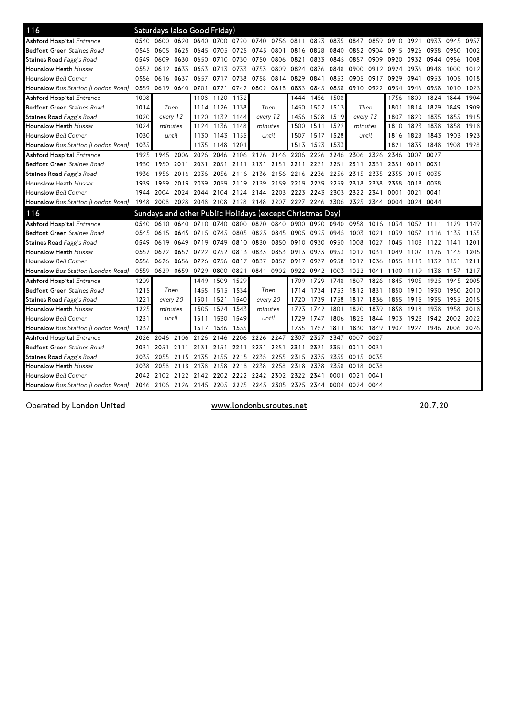| 116                                                                                                 |      |          |                | Saturdays (also Good Friday) |           |                |      |                                                                                 |                |                          |           |                |           |           |                |                |      |      |
|-----------------------------------------------------------------------------------------------------|------|----------|----------------|------------------------------|-----------|----------------|------|---------------------------------------------------------------------------------|----------------|--------------------------|-----------|----------------|-----------|-----------|----------------|----------------|------|------|
| <b>Ashford Hospital Entrance</b>                                                                    | 0540 | 0600     |                |                              |           |                |      | 0620 0640 0700 0720 0740 0756 0811                                              |                |                          | 0823 0835 | 0847           | 0859      |           | 0910 0921 0933 |                | 0945 | 0957 |
| <b>Bedfont Green</b> Staines Road                                                                   | 0545 | 0605     | 0625 0645      |                              | 0705 0725 |                | 0745 |                                                                                 | 0801 0816 0828 |                          | 0840      |                | 0852 0904 | 0915      | 0926 0938      |                | 0950 | 1002 |
| Staines Road Fagg's Road                                                                            | 0549 | 0609     | 0630           | 0650                         | 0710      | 0730           | 0750 | 0806                                                                            | 0821           | 0833                     | 0845      | 0857           | 0909      | 0920      | 0932 0944      |                | 0956 | 1008 |
| <b>Hounslow Heath Hussar</b>                                                                        | 0552 | 0612     | 0633           | 0653                         | 0713      | 0733           | 0753 | 0809                                                                            | 0824           | 0836                     | 0848      | 0900           | 0912      | 0924      | 0936           | 0948           | 1000 | 1012 |
| <b>Hounslow</b> Bell Corner                                                                         | 0556 | 0616     | 0637           | 0657                         | 0717      | 0738           | 0758 | 0814                                                                            | 0829           | 0841                     | 0853      | 0905           | 0917      | 0929      | 0941           | 0953           | 1005 | 1018 |
| Hounslow Bus Station (London Road)                                                                  | 0559 |          | 0619 0640 0701 |                              | 0721      |                |      | 0742 0802 0818 0833 0845                                                        |                |                          | 0858      |                | 0910 0922 | 0934      | 0946 0958      |                | 1010 | 1023 |
| <b>Ashford Hospital Entrance</b>                                                                    | 1008 |          |                | 1108                         | 1120 1132 |                |      |                                                                                 | 1444           | 1456                     | 1508      |                |           | 1756      | 1809 1824      |                | 1844 | 1904 |
| <b>Bedfont Green</b> Staines Road                                                                   | 1014 |          | Then           | 1114                         | 1126 1138 |                |      | Then                                                                            | 1450           | 1502 1513                |           |                | Then      | 1801      | 1814 1829      |                | 1849 | 1909 |
| Staines Road Fagg's Road                                                                            | 1020 | every 12 |                | 1120                         | 1132 1144 |                |      | every 12                                                                        | 1456           | 1508                     | 1519      | every 12       |           | 1807      | 1820           | 1835           | 1855 | 1915 |
| <b>Hounslow Heath</b> Hussar                                                                        | 1024 | minutes  |                | 1124                         | 1136      | 1148           |      | minutes                                                                         | 1500           | 1511 1522                |           | minutes        |           | 1810      | 1823           | 1838           | 1858 | 1918 |
| <b>Hounslow</b> Bell Corner                                                                         | 1030 |          | until          | 1130                         | 1143 1155 |                |      | until                                                                           | 1507           | 1517 1528                |           | until          |           | 1816      | 1828           | 1843           | 1903 | 1923 |
| Hounslow Bus Station (London Road)                                                                  | 1035 |          |                | 1135                         | 1148      | 1201           |      |                                                                                 | 1513           | 1523                     | 1533      |                |           | 1821      | 1833           | 1848           | 1908 | 1928 |
| <b>Ashford Hospital Entrance</b>                                                                    | 1925 | 1945     | 2006           | 2026                         | 2046      | 2106           | 2126 | 2146                                                                            | 2206           | 2226                     | 2246      | 2306 2326      |           | 2346      | 0007           | 0027           |      |      |
| <b>Bedfont Green</b> Staines Road                                                                   | 1930 | 1950     | 2011           | 2031                         | 2051      | 2111           |      | 2131 2151                                                                       |                | 2211 2231 2251           |           | 2311           | 2331      | 2351      | 0011 0031      |                |      |      |
| Staines Road Fagg's Road                                                                            | 1936 |          | 1956 2016      | 2036                         |           | 2056 2116 2136 |      | 2156 2216 2236                                                                  |                |                          |           | 2256 2315 2335 |           | 2355      | 0015 0035      |                |      |      |
| Hounslow Heath Hussar                                                                               | 1939 | 1959     | 2019           | 2039                         | 2059      | 2119           | 2139 | 2159                                                                            | 2219           | 2239                     | 2259      |                | 2318 2338 | 2358      | 0018 0038      |                |      |      |
| <b>Hounslow</b> Bell Corner                                                                         | 1944 | 2004     |                | 2024 2044                    |           | 2104 2124 2144 |      |                                                                                 |                | 2203 2223 2243 2303      |           | 2322 2341      |           | 0001      | 0021 0041      |                |      |      |
| Hounslow Bus Station (London Road)                                                                  |      |          |                |                              |           |                |      | 1948 2008 2028 2048 2108 2128 2148 2207 2227 2246 2306 2325 2344 0004 0024 0044 |                |                          |           |                |           |           |                |                |      |      |
| 116                                                                                                 |      |          |                |                              |           |                |      | Sundays and other Public Holidays (except Christmas Day)                        |                |                          |           |                |           |           |                |                |      |      |
| <b>Ashford Hospital Entrance</b>                                                                    | 0540 | 0610     | 0640 0710      |                              | 0740      | 0800           | 0820 |                                                                                 |                | 0840 0900 0920 0940 0958 |           |                | 1016      | 1034      | 1052 1111      |                | 1129 | 1149 |
| <b>Bedfont Green</b> Staines Road                                                                   | 0545 | 0615     | 0645 0715      |                              | 0745      | 0805 0825      |      | 0845 0905                                                                       |                | 0925                     | 0945      | 1003           | 1021      | 1039      | 1057           | 1116           | 1135 | 1155 |
| <b>Staines Road</b> Fagg's Road                                                                     | 0549 | 0619     | 0649           | 0719                         | 0749      | 0810           | 0830 | 0850                                                                            | 0910           | 0930                     | 0950      | 1008           | 1027      | 1045      | 1103           | 1122           | 1141 | 1201 |
| Hounslow Heath Hussar                                                                               | 0552 | 0622     |                | 0652 0722                    | 0752      | 0813           | 0833 | 0853                                                                            | 0913           | 0933                     | 0953      | 1012           | 1031      | 1049      | 1107           | 1126           | 1145 | 1205 |
| <b>Hounslow</b> Bell Corner                                                                         | 0556 | 0626     | 0656           | 0726                         | 0756      | 0817           | 0837 | 0857                                                                            | 0917           | 0937                     | 0958      | 1017           | 1036      | 1055      | 1113           | 1132           | 1151 | 1211 |
| Hounslow Bus Station (London Road)                                                                  | 0559 |          | 0629 0659 0729 |                              | 0800 0821 |                | 0841 |                                                                                 | 0902 0922 0942 |                          | 1003      | 1022           | 1041      | 1100      | 1119           | 1138           | 1157 | 1217 |
| <b>Ashford Hospital Entrance</b>                                                                    | 1209 |          |                | 1449                         |           | 1509 1529      |      |                                                                                 | 1709           | 1729                     | 1748      | 1807           | 1826      | 1845      | 1905           | 1925           | 1945 | 2005 |
| <b>Bedfont Green</b> Staines Road                                                                   | 1215 |          | Then           | 1455                         | 1515 1534 |                |      | Then                                                                            | 1714           | 1734                     | 1753      | 1812           | 1831      | 1850      | 1910           | 1930           | 1950 | 2010 |
| Staines Road Fagg's Road                                                                            | 1221 |          | every 20       | 1501                         | 1521      | 1540           |      | every 20                                                                        | 1720           | 1739                     | 1758      | 1817           | 1836      | 1855      | 1915           | 1935           | 1955 | 2015 |
| <b>Hounslow Heath Hussar</b>                                                                        | 1225 | minutes  |                | 1505                         | 1524      | 1543           |      | minutes                                                                         | 1723           | 1742                     | 1801      | 1820           | 1839      | 1858      | 1918           | 1938           | 1958 | 2018 |
| <b>Hounslow</b> Bell Corner                                                                         | 1231 |          | until          | 1511                         | 1530      | 1549           |      | until                                                                           | 1729           | 1747                     | -1806     | 1825           | 1844      | 1903      | 1923           | 1942           | 2002 | 2022 |
| Hounslow Bus Station (London Road)                                                                  | 1237 |          |                | 1517                         | 1536      | 1555           |      |                                                                                 | 1735           | 1752                     | 1811      | 1830           | 1849      | 1907 1927 |                | 1946 2006 2026 |      |      |
| Ashford Hospital Entrance                                                                           | 2026 | 2046     | 2106           | 2126                         | 2146      | 2206           | 2226 | 2247                                                                            | 2307           | 2327                     | 2347      | 0007           | 0027      |           |                |                |      |      |
| <b>Bedfont Green</b> Staines Road                                                                   | 2031 | 2051     | 2111           | 2131                         | 2151      | 2211           | 2231 | 2251                                                                            | 2311           | 2331                     | 2351      | 0011           | 0031      |           |                |                |      |      |
| Staines Road Fagg's Road                                                                            | 2035 | 2055     | 2115           | 2135                         |           | 2155 2215      | 2235 | 2255 2315                                                                       |                | 2335                     | 2355      | 0015 0035      |           |           |                |                |      |      |
| <b>Hounslow Heath Hussar</b>                                                                        | 2038 | 2058     | 2118           | 2138                         | 2158      | 2218           | 2238 | 2258                                                                            | 2318           | 2338                     | 2358      | 0018 0038      |           |           |                |                |      |      |
| <b>Hounslow</b> Bell Corner                                                                         | 2042 | 2102     | 2122           | 2142                         | 2202      | 2222           | 2242 |                                                                                 | 2302 2322      | 2341                     | 0001      | 0021           | 0041      |           |                |                |      |      |
| Hounslow Bus Station (London Road) 2046 2106 2126 2145 2205 2225 2245 2305 2325 2344 0004 0024 0044 |      |          |                |                              |           |                |      |                                                                                 |                |                          |           |                |           |           |                |                |      |      |

Operated by London United

www.londonbusroutes.net 20.7.20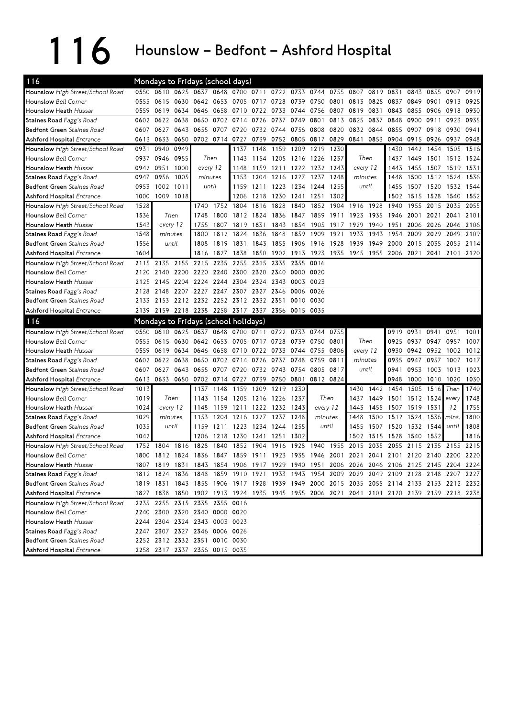## 116 Hounslow – Bedfont – Ashford Hospital

| 116                               |      | Mondays to Fridays (school days)                                                          |           |                |                          |                |      |                               |                |                     |                |           |           |                     |                |           |                     |      |
|-----------------------------------|------|-------------------------------------------------------------------------------------------|-----------|----------------|--------------------------|----------------|------|-------------------------------|----------------|---------------------|----------------|-----------|-----------|---------------------|----------------|-----------|---------------------|------|
| Hounslow High Street/School Road  |      | 0550 0610 0625 0637 0648 0700 0711 0722 0733 0744 0755 0807 0819 0831                     |           |                |                          |                |      |                               |                |                     |                |           |           |                     |                | 0843 0855 | 0907                | 0919 |
| <b>Hounslow</b> Bell Corner       | 0555 | 0615                                                                                      | 0630      |                | 0642 0653 0705 0717 0728 |                |      |                               | 0739 0750      |                     | 0801           |           | 0813 0825 | 0837                | 0849 0901      |           | 0913                | 0925 |
| <b>Hounslow Heath Hussar</b>      | 0559 | 0619                                                                                      | 0634 0646 |                | 0658 0710 0722           |                |      |                               | 0733 0744 0756 |                     | 0807           | 0819 0831 |           |                     | 0843 0855 0906 |           | 0918                | 0930 |
| Staines Road Fagg's Road          |      | 0602 0622                                                                                 | 0638      | 0650           | 0702                     | 0714           | 0726 | 0737                          | 0749           | 0801                | 0813           | 0825      | 0837      | 0848                | 0900 0911      |           | 0923                | 0935 |
| Bedfont Green Staines Road        |      | 0607 0627                                                                                 | 0643      | 0655           | 0707                     | 0720           | 0732 | 0744                          | 0756 0808      |                     | 0820           |           | 0832 0844 | 0855                | 0907 0918      |           | 0930                | 0941 |
| <b>Ashford Hospital Entrance</b>  | 0613 | 0633                                                                                      | 0650      |                | 0702 0714                | 0727           | 0739 | 0752                          |                | 0805 0817 0829      |                | 0841      | 0853      | 0904                | 0915 0926      |           | 0937                | 0948 |
| Hounslow High Street/School Road  | 0931 | 0940                                                                                      | 0949      |                |                          | 1137           | 1148 | 1159                          | 1209           | 1219                | 1230           |           |           | 1430                | 1442           | 1454      | 1505                | 1516 |
| <b>Hounslow</b> Bell Corner       |      | 0937 0946 0955                                                                            |           |                | Then                     | 1143           | 1154 | 1205 1216 1226                |                |                     | 1237           |           | Then      | 1437                |                | 1449 1501 | 1512 1524           |      |
| Hounslow Heath Hussar             |      | 0942 0951                                                                                 | 1000      | every 12       |                          | 1148           | 1159 | 1211 1222                     |                | 1232 1243           |                |           | every 12  | 1443                |                | 1455 1507 | 1519                | 1531 |
| Staines Road Fagg's Road          | 0947 | 0956                                                                                      | 1005      |                | minutes                  | 1153           | 1204 | 1216 1227                     |                | 1237                | 1248           |           | minutes   | 1448                | 1500           | 1512      | 1524                | 1536 |
| Bedfont Green Staines Road        | 0953 | 1002 1011                                                                                 |           |                | until                    | 1159           | 1211 |                               | 1223 1234      | 1244                | 1255           |           | until     | 1455                | 1507 1520      |           | 1532 1544           |      |
| <b>Ashford Hospital Entrance</b>  | 1000 | 1009 1018                                                                                 |           |                |                          | 1206           | 1218 |                               |                | 1230 1241 1251 1302 |                |           |           | 1502                | 1515 1528      |           | 1540                | 1552 |
| Hounslow High Street/School Road  | 1528 |                                                                                           |           | 1740           |                          | 1752 1804      | 1816 | 1828                          | 1840           | 1852                | 1904 1916 1928 |           |           | 1940                | 1955           | 2015      | 2035                | 2055 |
| <b>Hounslow</b> Bell Corner       | 1536 | Then                                                                                      |           | 1748           | 1800                     | 1812 1824      |      | 1836                          | 1847           | 1859                | 1911           | 1923      | 1935      | 1946                | 2001           | 2021      | 2041                | 2101 |
| Hounslow Heath Hussar             | 1543 | every 12                                                                                  |           | 1755           |                          | 1807 1819      | 1831 |                               | 1843 1854      | 1905                | 1917           | 1929      | 1940      | 1951                |                | 2006 2026 | 2046                | 2106 |
| Staines Road Fagg's Road          | 1548 | minutes                                                                                   |           | 1800           |                          | 1812 1824      | 1836 | 1848                          | 1859           | 1909                | 1921           | 1933      | 1943      | 1954                | 2009           | 2029      | 2049                | 2109 |
| <b>Bedfont Green</b> Staines Road | 1556 | until                                                                                     |           | 1808           |                          | 1819 1831      | 1843 | 1855                          | 1906           | 1916                | 1928           | 1939      | 1949      | 2000                | 2015 2035      |           | 2055                | 2114 |
| <b>Ashford Hospital Entrance</b>  | 1604 |                                                                                           |           | 1816           | 1827                     | 1838           | 1850 |                               | 1902 1913      | 1923                | 1935           | 1945      | 1955      | 2006                | 2021           | 2041      | 2101                | 2120 |
| Hounslow High Street/School Road  | 2115 | 2135                                                                                      | 2155 2215 |                | 2235                     | 2255           | 2315 | 2335                          | 2355           | 0016                |                |           |           |                     |                |           |                     |      |
| <b>Hounslow</b> Bell Corner       | 2120 | 2140                                                                                      | 2200 2220 |                |                          | 2240 2300 2320 |      |                               | 2340 0000 0020 |                     |                |           |           |                     |                |           |                     |      |
| Hounslow Heath Hussar             | 2125 | 2145 2204 2224                                                                            |           |                |                          | 2244 2304 2324 |      |                               | 2343 0003 0023 |                     |                |           |           |                     |                |           |                     |      |
| Staines Road Fagg's Road          | 2128 | 2148                                                                                      | 2207 2227 |                |                          | 2247 2307      | 2327 | 2346                          | 0006           | 0026                |                |           |           |                     |                |           |                     |      |
| Bedfont Green Staines Road        | 2133 | 2153 2212 2232 2252 2312 2332 2351                                                        |           |                |                          |                |      |                               | 0010           | 0030                |                |           |           |                     |                |           |                     |      |
| <b>Ashford Hospital Entrance</b>  |      | 2139 2159 2218 2238 2258 2317 2337 2356 0015 0035                                         |           |                |                          |                |      |                               |                |                     |                |           |           |                     |                |           |                     |      |
|                                   |      |                                                                                           |           |                |                          |                |      |                               |                |                     |                |           |           |                     |                |           |                     |      |
| 116                               |      | Mondays to Fridays (school holidays)                                                      |           |                |                          |                |      |                               |                |                     |                |           |           |                     |                |           |                     |      |
| Hounslow High Street/School Road  | 0550 | 0610                                                                                      |           | 0625 0637 0648 |                          |                |      | 0700 0711 0722 0733 0744 0755 |                |                     |                |           |           | 0919                | 0931 0941      |           | 0951                | 1001 |
| <b>Hounslow Bell Corner</b>       | 0555 | 0615                                                                                      | 0630      | 0642           | 0653 0705 0717           |                |      | 0728                          | 0739           | 0750                | 0801           |           | Then      | 0925                | 0937 0947      |           | 0957                | 1007 |
| Hounslow Heath Hussar             | 0559 | 0619                                                                                      | 0634 0646 |                | 0658                     | 0710 0722      |      | 0733                          | 0744           | 0755                | 0806           |           | every 12  | 0930                | 0942 0952      |           | 1002                | 1012 |
| Staines Road Fagg's Road          | 0602 | 0622                                                                                      | 0638      | 0650           | 0702                     | 0714           | 0726 | 0737                          | 0748           | 0759                | 0811           |           | minutes   | 0935                | 0947           | 0957      | 1007                | 1017 |
| <b>Bedfont Green</b> Staines Road | 0607 | 0627                                                                                      | 0643      | 0655           | 0707 0720                |                | 0732 |                               | 0743 0754      | 0805                | 0817           |           | until     | 0941                |                | 0953 1003 | 1013                | 1023 |
| <b>Ashford Hospital Entrance</b>  | 0613 | 0633 0650                                                                                 |           | 0702           | 0714 0727                |                | 0739 | 0750                          | 0801           | 0812 0824           |                |           |           | 0948                | 1000           | 1010      | 1020                | 1030 |
| Hounslow High Street/School Road  | 1013 |                                                                                           |           | 1137           | 1148                     | 1159           | 1209 | 1219                          | 1230           |                     |                | 1430      | 1442      | 1454                | 1505           | 1516      | Then                | 1740 |
| <b>Hounslow</b> Bell Corner       | 1019 | Then                                                                                      |           | 1143           |                          | 1154 1205 1216 |      | 1226 1237                     |                |                     | Then           | 1437      | 1449      | 1501 1512 1524      |                |           | every               | 1748 |
| Hounslow Heath Hussar             | 1024 | every 12                                                                                  |           | 1148           |                          |                |      | 1159 1211 1222 1232 1243      |                | every 12            |                | 1443      | 1455      | 1507                | 1519 1531      |           | 12                  | 1755 |
| Staines Road Fagg's Road          | 1029 | minutes                                                                                   |           | 1153           | 1204                     | 1216 1227      |      | 1237                          | 1248           | minutes             |                | 1448      | 1500      |                     | 1512 1524      | 1536      | <i>mins</i>         | 1800 |
| <b>Bedfont Green</b> Staines Road | 1035 | until                                                                                     |           | 1159           |                          | 1211 1223 1234 |      | 1244                          | 1255           |                     | until          | 1455      |           | 1507 1520 1532 1544 |                |           | until               | 1808 |
| <b>Ashford Hospital Entrance</b>  | 1042 |                                                                                           |           | 1206           | 1218                     | 1230 1241      |      | 1251                          | 1302           |                     |                |           | 1502 1515 | 1528                | 1540 1552      |           |                     | 1816 |
| Hounslow High Street/School Road  |      | 1752 1804 1816 1828                                                                       |           |                | 1840                     |                |      | 1852 1904 1916 1928 1940 1955 |                |                     |                |           | 2015 2035 | 2055                |                |           | 2115 2135 2155 2215 |      |
| <b>Hounslow</b> Bell Corner       |      | 1800 1812 1824 1836 1847 1859 1911 1923 1935 1946 2001 2021 2041 2101 2120 2140 2200 2220 |           |                |                          |                |      |                               |                |                     |                |           |           |                     |                |           |                     |      |
| Hounslow Heath <i>Hussar</i>      |      | 1807 1819 1831 1843 1854 1906 1917 1929 1940 1951 2006 2026 2046 2106 2125 2145 2204 2224 |           |                |                          |                |      |                               |                |                     |                |           |           |                     |                |           |                     |      |
| Staines Road Fagg's Road          |      | 1812 1824 1836 1848 1859 1910 1921 1933 1943 1954 2009 2029 2049 2109 2128 2148 2207 2227 |           |                |                          |                |      |                               |                |                     |                |           |           |                     |                |           |                     |      |
| <b>Bedfont Green</b> Staines Road |      | 1819 1831 1843 1855 1906 1917 1928 1939 1949 2000 2015 2035 2055 2114 2133 2153 2212 2232 |           |                |                          |                |      |                               |                |                     |                |           |           |                     |                |           |                     |      |
| <b>Ashford Hospital Entrance</b>  |      | 1827 1838 1850 1902 1913 1924 1935 1945 1955 2006 2021 2041 2101 2120 2139 2159 2218 2238 |           |                |                          |                |      |                               |                |                     |                |           |           |                     |                |           |                     |      |
| Hounslow High Street/School Road  | 2235 | 2255 2315 2335 2355 0016                                                                  |           |                |                          |                |      |                               |                |                     |                |           |           |                     |                |           |                     |      |
| Hounslow Bell Corner              |      | 2240 2300 2320 2340 0000 0020                                                             |           |                |                          |                |      |                               |                |                     |                |           |           |                     |                |           |                     |      |
| Hounslow Heath Hussar             |      | 2244 2304 2324 2343 0003 0023                                                             |           |                |                          |                |      |                               |                |                     |                |           |           |                     |                |           |                     |      |
| Staines Road Fagg's Road          |      | 2247 2307 2327 2346 0006 0026                                                             |           |                |                          |                |      |                               |                |                     |                |           |           |                     |                |           |                     |      |
| Bedfont Green Staines Road        |      | 2252 2312 2332 2351 0010 0030                                                             |           |                |                          |                |      |                               |                |                     |                |           |           |                     |                |           |                     |      |